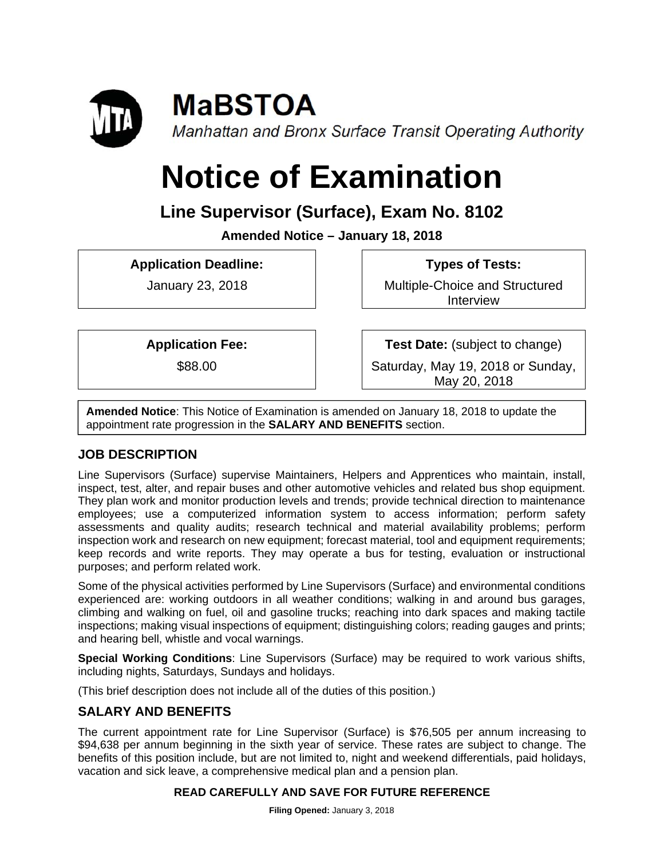

# **Notice of Examination**

## **Line Supervisor (Surface), Exam No. 8102**

**Amended Notice – January 18, 2018** 

**Application Deadline:** 

January 23, 2018

 **Types of Tests:** 

Multiple-Choice and Structured Interview

**Application Fee:** 

\$88.00

**Test Date:** (subject to change)

Saturday, May 19, 2018 or Sunday, May 20, 2018

**Amended Notice**: This Notice of Examination is amended on January 18, 2018 to update the appointment rate progression in the **SALARY AND BENEFITS** section.

## **JOB DESCRIPTION**

Line Supervisors (Surface) supervise Maintainers, Helpers and Apprentices who maintain, install, inspect, test, alter, and repair buses and other automotive vehicles and related bus shop equipment. They plan work and monitor production levels and trends; provide technical direction to maintenance employees; use a computerized information system to access information; perform safety assessments and quality audits; research technical and material availability problems; perform inspection work and research on new equipment; forecast material, tool and equipment requirements; keep records and write reports. They may operate a bus for testing, evaluation or instructional purposes; and perform related work.

Some of the physical activities performed by Line Supervisors (Surface) and environmental conditions experienced are: working outdoors in all weather conditions; walking in and around bus garages, climbing and walking on fuel, oil and gasoline trucks; reaching into dark spaces and making tactile inspections; making visual inspections of equipment; distinguishing colors; reading gauges and prints; and hearing bell, whistle and vocal warnings.

**Special Working Conditions**: Line Supervisors (Surface) may be required to work various shifts, including nights, Saturdays, Sundays and holidays.

(This brief description does not include all of the duties of this position.)

## **SALARY AND BENEFITS**

The current appointment rate for Line Supervisor (Surface) is \$76,505 per annum increasing to \$94,638 per annum beginning in the sixth year of service. These rates are subject to change. The benefits of this position include, but are not limited to, night and weekend differentials, paid holidays, vacation and sick leave, a comprehensive medical plan and a pension plan.

#### **READ CAREFULLY AND SAVE FOR FUTURE REFERENCE**

**Filing Opened:** January 3, 2018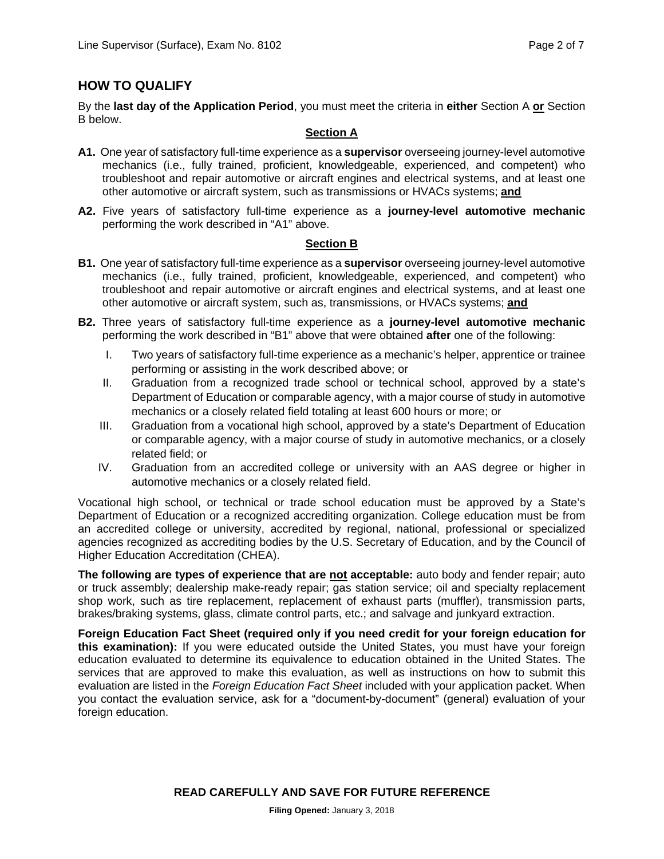### **HOW TO QUALIFY**

By the **last day of the Application Period**, you must meet the criteria in **either** Section A **or** Section B below.

#### **Section A**

- **A1.** One year of satisfactory full-time experience as a **supervisor** overseeing journey-level automotive mechanics (i.e., fully trained, proficient, knowledgeable, experienced, and competent) who troubleshoot and repair automotive or aircraft engines and electrical systems, and at least one other automotive or aircraft system, such as transmissions or HVACs systems; **and**
- **A2.** Five years of satisfactory full-time experience as a **journey-level automotive mechanic** performing the work described in "A1" above.

#### **Section B**

- **B1.** One year of satisfactory full-time experience as a **supervisor** overseeing journey-level automotive mechanics (i.e., fully trained, proficient, knowledgeable, experienced, and competent) who troubleshoot and repair automotive or aircraft engines and electrical systems, and at least one other automotive or aircraft system, such as, transmissions, or HVACs systems; **and**
- **B2.** Three years of satisfactory full-time experience as a **journey-level automotive mechanic** performing the work described in "B1" above that were obtained **after** one of the following:
	- I. Two years of satisfactory full-time experience as a mechanic's helper, apprentice or trainee performing or assisting in the work described above; or
	- II. Graduation from a recognized trade school or technical school, approved by a state's Department of Education or comparable agency, with a major course of study in automotive mechanics or a closely related field totaling at least 600 hours or more; or
	- III. Graduation from a vocational high school, approved by a state's Department of Education or comparable agency, with a major course of study in automotive mechanics, or a closely related field; or
	- IV. Graduation from an accredited college or university with an AAS degree or higher in automotive mechanics or a closely related field.

Vocational high school, or technical or trade school education must be approved by a State's Department of Education or a recognized accrediting organization. College education must be from an accredited college or university, accredited by regional, national, professional or specialized agencies recognized as accrediting bodies by the U.S. Secretary of Education, and by the Council of Higher Education Accreditation (CHEA).

**The following are types of experience that are not acceptable:** auto body and fender repair; auto or truck assembly; dealership make-ready repair; gas station service; oil and specialty replacement shop work, such as tire replacement, replacement of exhaust parts (muffler), transmission parts, brakes/braking systems, glass, climate control parts, etc.; and salvage and junkyard extraction.

**Foreign Education Fact Sheet (required only if you need credit for your foreign education for this examination):** If you were educated outside the United States, you must have your foreign education evaluated to determine its equivalence to education obtained in the United States. The services that are approved to make this evaluation, as well as instructions on how to submit this evaluation are listed in the *Foreign Education Fact Sheet* included with your application packet. When you contact the evaluation service, ask for a "document-by-document" (general) evaluation of your foreign education.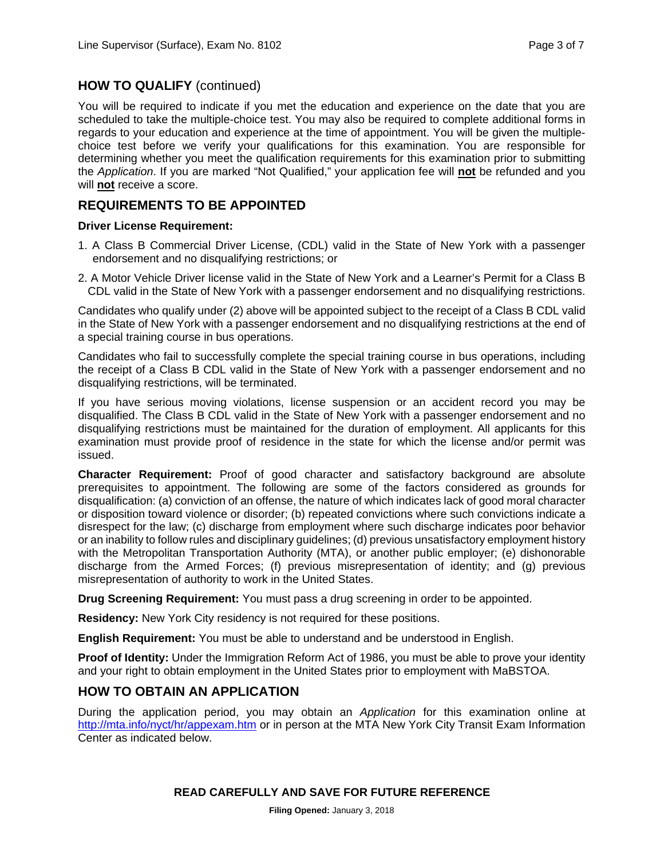#### **HOW TO QUALIFY** (continued)

You will be required to indicate if you met the education and experience on the date that you are scheduled to take the multiple-choice test. You may also be required to complete additional forms in regards to your education and experience at the time of appointment. You will be given the multiplechoice test before we verify your qualifications for this examination. You are responsible for determining whether you meet the qualification requirements for this examination prior to submitting the *Application*. If you are marked "Not Qualified," your application fee will **not** be refunded and you will **not** receive a score.

#### **REQUIREMENTS TO BE APPOINTED**

#### **Driver License Requirement:**

- 1. A Class B Commercial Driver License, (CDL) valid in the State of New York with a passenger endorsement and no disqualifying restrictions; or
- 2. A Motor Vehicle Driver license valid in the State of New York and a Learner's Permit for a Class B CDL valid in the State of New York with a passenger endorsement and no disqualifying restrictions.

Candidates who qualify under (2) above will be appointed subject to the receipt of a Class B CDL valid in the State of New York with a passenger endorsement and no disqualifying restrictions at the end of a special training course in bus operations.

Candidates who fail to successfully complete the special training course in bus operations, including the receipt of a Class B CDL valid in the State of New York with a passenger endorsement and no disqualifying restrictions, will be terminated.

If you have serious moving violations, license suspension or an accident record you may be disqualified. The Class B CDL valid in the State of New York with a passenger endorsement and no disqualifying restrictions must be maintained for the duration of employment. All applicants for this examination must provide proof of residence in the state for which the license and/or permit was issued.

**Character Requirement:** Proof of good character and satisfactory background are absolute prerequisites to appointment. The following are some of the factors considered as grounds for disqualification: (a) conviction of an offense, the nature of which indicates lack of good moral character or disposition toward violence or disorder; (b) repeated convictions where such convictions indicate a disrespect for the law; (c) discharge from employment where such discharge indicates poor behavior or an inability to follow rules and disciplinary guidelines; (d) previous unsatisfactory employment history with the Metropolitan Transportation Authority (MTA), or another public employer; (e) dishonorable discharge from the Armed Forces; (f) previous misrepresentation of identity; and (g) previous misrepresentation of authority to work in the United States.

**Drug Screening Requirement:** You must pass a drug screening in order to be appointed.

**Residency:** New York City residency is not required for these positions.

**English Requirement:** You must be able to understand and be understood in English.

**Proof of Identity:** Under the Immigration Reform Act of 1986, you must be able to prove your identity and your right to obtain employment in the United States prior to employment with MaBSTOA.

#### **HOW TO OBTAIN AN APPLICATION**

During the application period, you may obtain an *Application* for this examination online at http://mta.info/nyct/hr/appexam.htm or in person at the MTA New York City Transit Exam Information Center as indicated below.

#### **READ CAREFULLY AND SAVE FOR FUTURE REFERENCE**

**Filing Opened:** January 3, 2018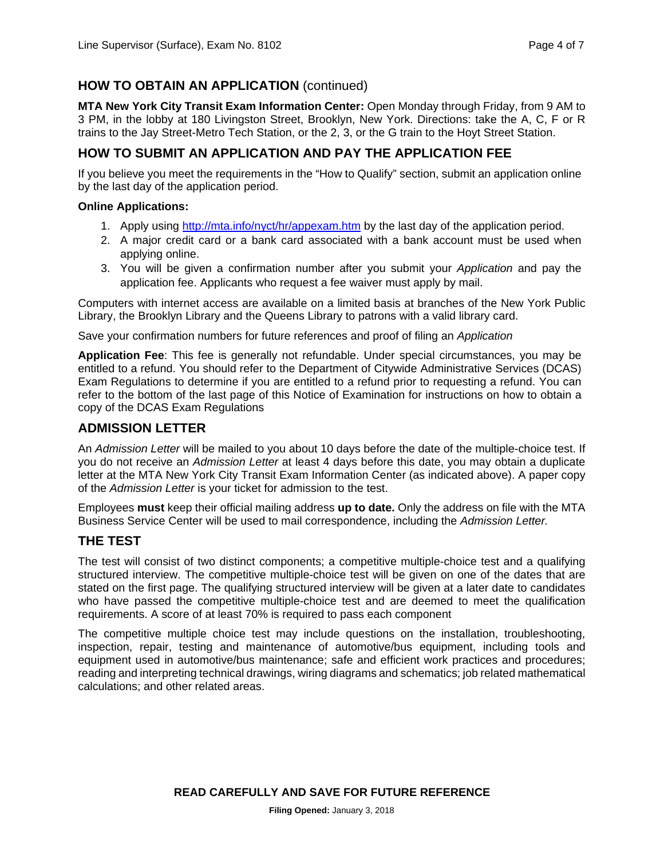### **HOW TO OBTAIN AN APPLICATION** (continued)

**MTA New York City Transit Exam Information Center:** Open Monday through Friday, from 9 AM to 3 PM, in the lobby at 180 Livingston Street, Brooklyn, New York. Directions: take the A, C, F or R trains to the Jay Street-Metro Tech Station, or the 2, 3, or the G train to the Hoyt Street Station.

#### **HOW TO SUBMIT AN APPLICATION AND PAY THE APPLICATION FEE**

If you believe you meet the requirements in the "How to Qualify" section, submit an application online by the last day of the application period.

#### **Online Applications:**

- 1. Apply using http://mta.info/nyct/hr/appexam.htm by the last day of the application period.
- 2. A major credit card or a bank card associated with a bank account must be used when applying online.
- 3. You will be given a confirmation number after you submit your *Application* and pay the application fee. Applicants who request a fee waiver must apply by mail.

Computers with internet access are available on a limited basis at branches of the New York Public Library, the Brooklyn Library and the Queens Library to patrons with a valid library card.

Save your confirmation numbers for future references and proof of filing an *Application* 

**Application Fee**: This fee is generally not refundable. Under special circumstances, you may be entitled to a refund. You should refer to the Department of Citywide Administrative Services (DCAS) Exam Regulations to determine if you are entitled to a refund prior to requesting a refund. You can refer to the bottom of the last page of this Notice of Examination for instructions on how to obtain a copy of the DCAS Exam Regulations

#### **ADMISSION LETTER**

An *Admission Letter* will be mailed to you about 10 days before the date of the multiple-choice test. If you do not receive an *Admission Letter* at least 4 days before this date, you may obtain a duplicate letter at the MTA New York City Transit Exam Information Center (as indicated above). A paper copy of the *Admission Letter* is your ticket for admission to the test.

Employees **must** keep their official mailing address **up to date.** Only the address on file with the MTA Business Service Center will be used to mail correspondence, including the *Admission Letter.* 

#### **THE TEST**

The test will consist of two distinct components; a competitive multiple-choice test and a qualifying structured interview. The competitive multiple-choice test will be given on one of the dates that are stated on the first page. The qualifying structured interview will be given at a later date to candidates who have passed the competitive multiple-choice test and are deemed to meet the qualification requirements. A score of at least 70% is required to pass each component

The competitive multiple choice test may include questions on the installation, troubleshooting, inspection, repair, testing and maintenance of automotive/bus equipment, including tools and equipment used in automotive/bus maintenance; safe and efficient work practices and procedures; reading and interpreting technical drawings, wiring diagrams and schematics; job related mathematical calculations; and other related areas.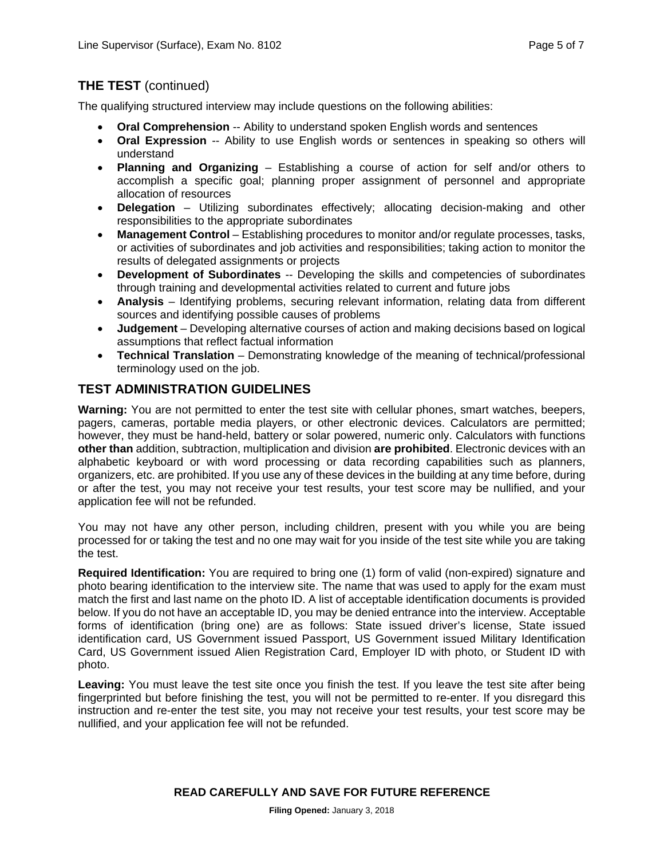## **THE TEST** (continued)

The qualifying structured interview may include questions on the following abilities:

- **Oral Comprehension** -- Ability to understand spoken English words and sentences
- **Oral Expression** -- Ability to use English words or sentences in speaking so others will understand
- **Planning and Organizing** Establishing a course of action for self and/or others to accomplish a specific goal; planning proper assignment of personnel and appropriate allocation of resources
- **Delegation** Utilizing subordinates effectively; allocating decision-making and other responsibilities to the appropriate subordinates
- **Management Control** Establishing procedures to monitor and/or regulate processes, tasks, or activities of subordinates and job activities and responsibilities; taking action to monitor the results of delegated assignments or projects
- **Development of Subordinates** -- Developing the skills and competencies of subordinates through training and developmental activities related to current and future jobs
- **Analysis** Identifying problems, securing relevant information, relating data from different sources and identifying possible causes of problems
- **Judgement** Developing alternative courses of action and making decisions based on logical assumptions that reflect factual information
- **Technical Translation** Demonstrating knowledge of the meaning of technical/professional terminology used on the job.

## **TEST ADMINISTRATION GUIDELINES**

**Warning:** You are not permitted to enter the test site with cellular phones, smart watches, beepers, pagers, cameras, portable media players, or other electronic devices. Calculators are permitted; however, they must be hand-held, battery or solar powered, numeric only. Calculators with functions **other than** addition, subtraction, multiplication and division **are prohibited**. Electronic devices with an alphabetic keyboard or with word processing or data recording capabilities such as planners, organizers, etc. are prohibited. If you use any of these devices in the building at any time before, during or after the test, you may not receive your test results, your test score may be nullified, and your application fee will not be refunded.

You may not have any other person, including children, present with you while you are being processed for or taking the test and no one may wait for you inside of the test site while you are taking the test.

**Required Identification:** You are required to bring one (1) form of valid (non-expired) signature and photo bearing identification to the interview site. The name that was used to apply for the exam must match the first and last name on the photo ID. A list of acceptable identification documents is provided below. If you do not have an acceptable ID, you may be denied entrance into the interview. Acceptable forms of identification (bring one) are as follows: State issued driver's license, State issued identification card, US Government issued Passport, US Government issued Military Identification Card, US Government issued Alien Registration Card, Employer ID with photo, or Student ID with photo.

**Leaving:** You must leave the test site once you finish the test. If you leave the test site after being fingerprinted but before finishing the test, you will not be permitted to re-enter. If you disregard this instruction and re-enter the test site, you may not receive your test results, your test score may be nullified, and your application fee will not be refunded.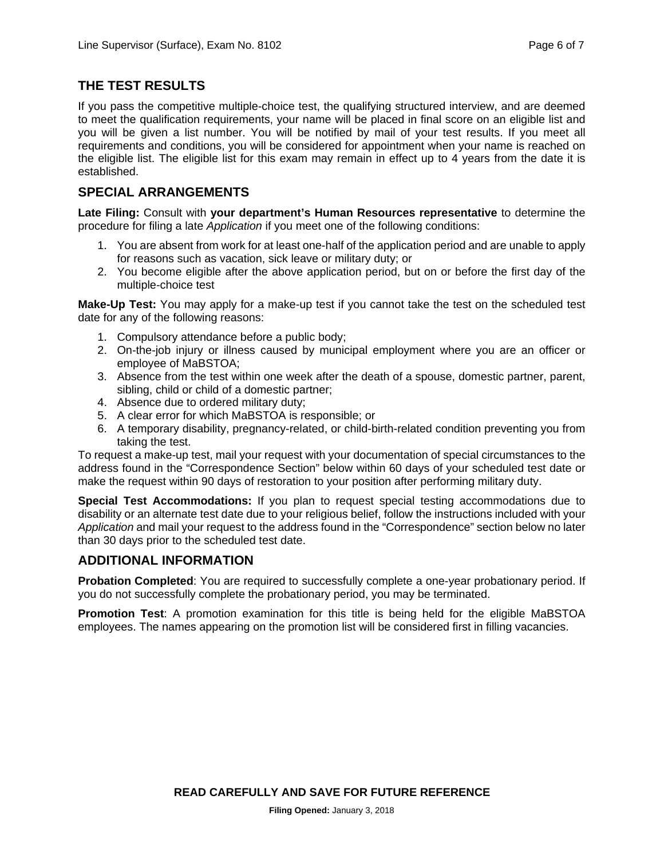### **THE TEST RESULTS**

If you pass the competitive multiple-choice test, the qualifying structured interview, and are deemed to meet the qualification requirements, your name will be placed in final score on an eligible list and you will be given a list number. You will be notified by mail of your test results. If you meet all requirements and conditions, you will be considered for appointment when your name is reached on the eligible list. The eligible list for this exam may remain in effect up to 4 years from the date it is established.

## **SPECIAL ARRANGEMENTS**

**Late Filing:** Consult with **your department's Human Resources representative** to determine the procedure for filing a late *Application* if you meet one of the following conditions:

- 1. You are absent from work for at least one-half of the application period and are unable to apply for reasons such as vacation, sick leave or military duty; or
- 2. You become eligible after the above application period, but on or before the first day of the multiple-choice test

**Make-Up Test:** You may apply for a make-up test if you cannot take the test on the scheduled test date for any of the following reasons:

- 1. Compulsory attendance before a public body;
- 2. On-the-job injury or illness caused by municipal employment where you are an officer or employee of MaBSTOA;
- 3. Absence from the test within one week after the death of a spouse, domestic partner, parent, sibling, child or child of a domestic partner;
- 4. Absence due to ordered military duty;
- 5. A clear error for which MaBSTOA is responsible; or
- 6. A temporary disability, pregnancy-related, or child-birth-related condition preventing you from taking the test.

To request a make-up test, mail your request with your documentation of special circumstances to the address found in the "Correspondence Section" below within 60 days of your scheduled test date or make the request within 90 days of restoration to your position after performing military duty.

**Special Test Accommodations:** If you plan to request special testing accommodations due to disability or an alternate test date due to your religious belief, follow the instructions included with your *Application* and mail your request to the address found in the "Correspondence" section below no later than 30 days prior to the scheduled test date.

## **ADDITIONAL INFORMATION**

**Probation Completed:** You are required to successfully complete a one-year probationary period. If you do not successfully complete the probationary period, you may be terminated.

**Promotion Test**: A promotion examination for this title is being held for the eligible MaBSTOA employees. The names appearing on the promotion list will be considered first in filling vacancies.